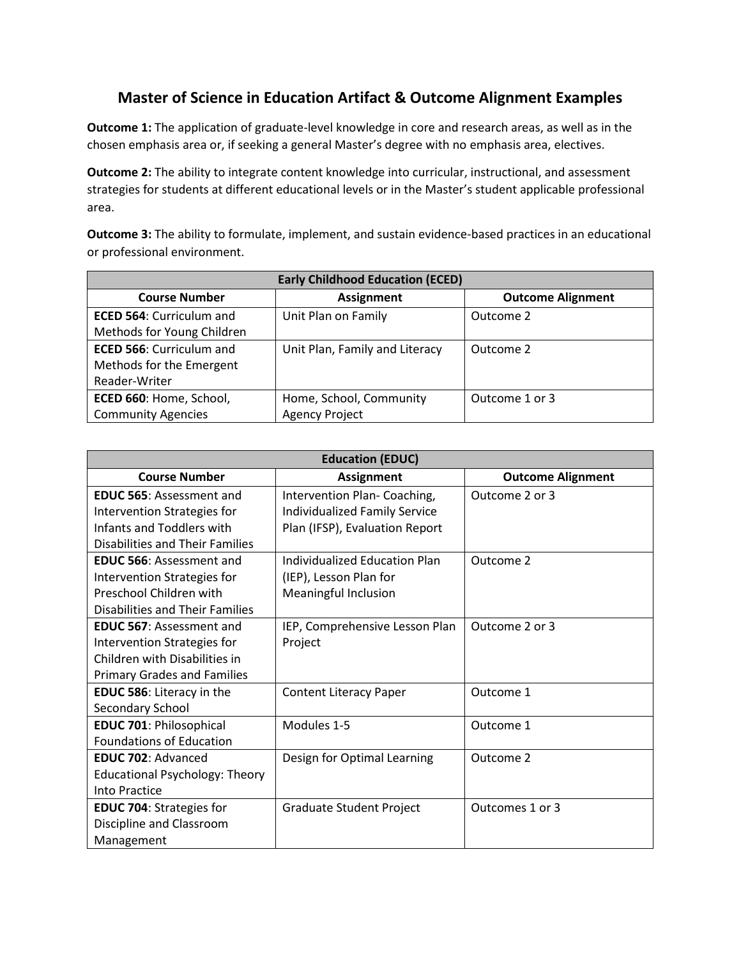## **Master of Science in Education Artifact & Outcome Alignment Examples**

**Outcome 1:** The application of graduate-level knowledge in core and research areas, as well as in the chosen emphasis area or, if seeking a general Master's degree with no emphasis area, electives.

**Outcome 2:** The ability to integrate content knowledge into curricular, instructional, and assessment strategies for students at different educational levels or in the Master's student applicable professional area.

**Outcome 3:** The ability to formulate, implement, and sustain evidence-based practices in an educational or professional environment.

| <b>Early Childhood Education (ECED)</b> |                                |                          |  |
|-----------------------------------------|--------------------------------|--------------------------|--|
| <b>Course Number</b>                    | <b>Assignment</b>              | <b>Outcome Alignment</b> |  |
| <b>ECED 564: Curriculum and</b>         | Unit Plan on Family            | Outcome 2                |  |
| Methods for Young Children              |                                |                          |  |
| <b>ECED 566: Curriculum and</b>         | Unit Plan, Family and Literacy | Outcome 2                |  |
| Methods for the Emergent                |                                |                          |  |
| Reader-Writer                           |                                |                          |  |
| ECED 660: Home, School,                 | Home, School, Community        | Outcome 1 or 3           |  |
| <b>Community Agencies</b>               | <b>Agency Project</b>          |                          |  |

| <b>Education (EDUC)</b>                |                                      |                          |  |
|----------------------------------------|--------------------------------------|--------------------------|--|
| <b>Course Number</b>                   | <b>Assignment</b>                    | <b>Outcome Alignment</b> |  |
| <b>EDUC 565: Assessment and</b>        | Intervention Plan-Coaching,          | Outcome 2 or 3           |  |
| Intervention Strategies for            | <b>Individualized Family Service</b> |                          |  |
| Infants and Toddlers with              | Plan (IFSP), Evaluation Report       |                          |  |
| Disabilities and Their Families        |                                      |                          |  |
| <b>EDUC 566: Assessment and</b>        | Individualized Education Plan        | Outcome 2                |  |
| Intervention Strategies for            | (IEP), Lesson Plan for               |                          |  |
| Preschool Children with                | <b>Meaningful Inclusion</b>          |                          |  |
| <b>Disabilities and Their Families</b> |                                      |                          |  |
| <b>EDUC 567: Assessment and</b>        | IEP, Comprehensive Lesson Plan       | Outcome 2 or 3           |  |
| Intervention Strategies for            | Project                              |                          |  |
| Children with Disabilities in          |                                      |                          |  |
| <b>Primary Grades and Families</b>     |                                      |                          |  |
| <b>EDUC 586: Literacy in the</b>       | <b>Content Literacy Paper</b>        | Outcome 1                |  |
| Secondary School                       |                                      |                          |  |
| <b>EDUC 701: Philosophical</b>         | Modules 1-5                          | Outcome 1                |  |
| <b>Foundations of Education</b>        |                                      |                          |  |
| <b>EDUC 702: Advanced</b>              | Design for Optimal Learning          | Outcome 2                |  |
| <b>Educational Psychology: Theory</b>  |                                      |                          |  |
| Into Practice                          |                                      |                          |  |
| <b>EDUC 704: Strategies for</b>        | Graduate Student Project             | Outcomes 1 or 3          |  |
| Discipline and Classroom               |                                      |                          |  |
| Management                             |                                      |                          |  |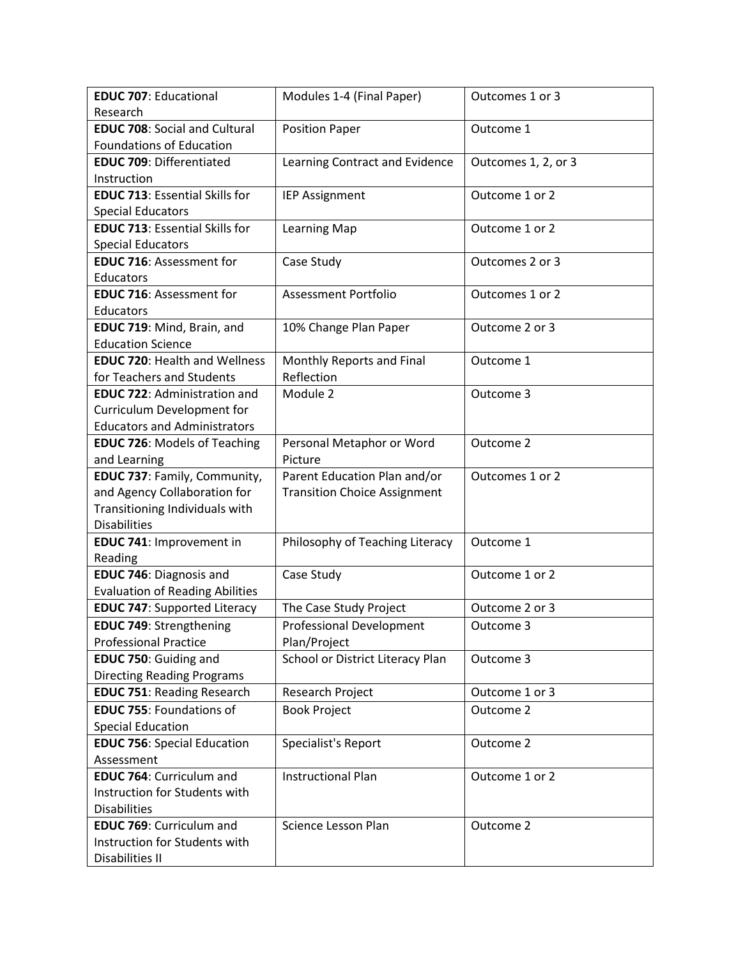| <b>EDUC 707: Educational</b>           | Modules 1-4 (Final Paper)           | Outcomes 1 or 3     |
|----------------------------------------|-------------------------------------|---------------------|
| Research                               |                                     |                     |
| <b>EDUC 708: Social and Cultural</b>   | <b>Position Paper</b>               | Outcome 1           |
| <b>Foundations of Education</b>        |                                     |                     |
| <b>EDUC 709: Differentiated</b>        | Learning Contract and Evidence      | Outcomes 1, 2, or 3 |
| Instruction                            |                                     |                     |
| <b>EDUC 713: Essential Skills for</b>  | <b>IEP Assignment</b>               | Outcome 1 or 2      |
| <b>Special Educators</b>               |                                     |                     |
| <b>EDUC 713: Essential Skills for</b>  | Learning Map                        | Outcome 1 or 2      |
| <b>Special Educators</b>               |                                     |                     |
| <b>EDUC 716: Assessment for</b>        | Case Study                          | Outcomes 2 or 3     |
| Educators                              |                                     |                     |
| <b>EDUC 716: Assessment for</b>        | <b>Assessment Portfolio</b>         | Outcomes 1 or 2     |
| Educators                              |                                     |                     |
| EDUC 719: Mind, Brain, and             | 10% Change Plan Paper               | Outcome 2 or 3      |
| <b>Education Science</b>               |                                     |                     |
| <b>EDUC 720: Health and Wellness</b>   | Monthly Reports and Final           | Outcome 1           |
| for Teachers and Students              | Reflection                          |                     |
| <b>EDUC 722: Administration and</b>    | Module 2                            | Outcome 3           |
| Curriculum Development for             |                                     |                     |
| <b>Educators and Administrators</b>    |                                     |                     |
| <b>EDUC 726: Models of Teaching</b>    | Personal Metaphor or Word           | Outcome 2           |
| and Learning                           | Picture                             |                     |
| EDUC 737: Family, Community,           | Parent Education Plan and/or        | Outcomes 1 or 2     |
| and Agency Collaboration for           | <b>Transition Choice Assignment</b> |                     |
| Transitioning Individuals with         |                                     |                     |
| <b>Disabilities</b>                    |                                     |                     |
| EDUC 741: Improvement in               | Philosophy of Teaching Literacy     | Outcome 1           |
| Reading                                |                                     |                     |
| <b>EDUC 746: Diagnosis and</b>         | Case Study                          | Outcome 1 or 2      |
| <b>Evaluation of Reading Abilities</b> |                                     |                     |
| <b>EDUC 747: Supported Literacy</b>    | The Case Study Project              | Outcome 2 or 3      |
| <b>EDUC 749: Strengthening</b>         | <b>Professional Development</b>     | Outcome 3           |
| <b>Professional Practice</b>           | Plan/Project                        |                     |
| EDUC 750: Guiding and                  | School or District Literacy Plan    | Outcome 3           |
| <b>Directing Reading Programs</b>      |                                     |                     |
| <b>EDUC 751: Reading Research</b>      | Research Project                    | Outcome 1 or 3      |
| <b>EDUC 755: Foundations of</b>        | <b>Book Project</b>                 | Outcome 2           |
| <b>Special Education</b>               |                                     |                     |
| <b>EDUC 756: Special Education</b>     | Specialist's Report                 | Outcome 2           |
| Assessment                             |                                     |                     |
| <b>EDUC 764: Curriculum and</b>        | <b>Instructional Plan</b>           | Outcome 1 or 2      |
| Instruction for Students with          |                                     |                     |
| <b>Disabilities</b>                    |                                     |                     |
| <b>EDUC 769: Curriculum and</b>        | Science Lesson Plan                 | Outcome 2           |
| Instruction for Students with          |                                     |                     |
| Disabilities II                        |                                     |                     |